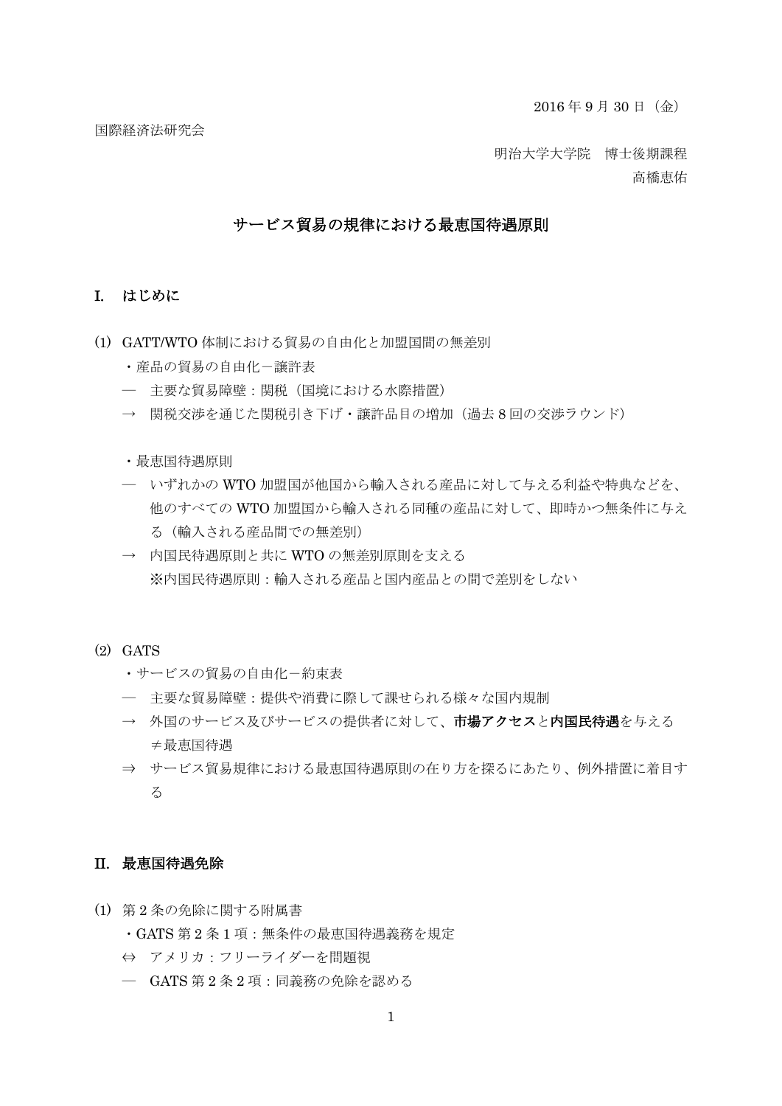国際経済法研究会

明治大学大学院 博士後期課程

高橋恵佑

#### サービス貿易の規律における最恵国待遇原則

#### I. はじめに

- (1) GATT/WTO 体制における貿易の自由化と加盟国間の無差別
	- ・産品の貿易の自由化-譲許表
	- ― 主要な貿易障壁:関税(国境における水際措置)
	- → 関税交渉を通じた関税引き下げ・譲許品目の増加(過去8回の交渉ラウンド)

・最恵国待遇原則

- ― いずれかの WTO 加盟国が他国から輸入される産品に対して与える利益や特典などを、 他のすべての WTO 加盟国から輸入される同種の産品に対して、即時かつ無条件に与え る(輸入される産品間での無差別)
- → 内国民待遇原則と共に WTO の無差別原則を支える ※内国民待遇原則:輸入される産品と国内産品との間で差別をしない
- (2) GATS
	- ・サービスの貿易の自由化-約束表
	- ― 主要な貿易障壁:提供や消費に際して課せられる様々な国内規制
	- → 外国のサービス及びサービスの提供者に対して、市場アクセスと内国民待遇を与える ≠最恵国待遇
	- ⇒ サービス貿易規律における最恵国待遇原則の在り方を探るにあたり、例外措置に着目す る

#### II. 最恵国待遇免除

(1) 第 2 条の免除に関する附属書

・GATS 第 2 条 1 項:無条件の最恵国待遇義務を規定

- ⇔ アメリカ:フリーライダーを問題視
- ― GATS 第 2 条 2 項:同義務の免除を認める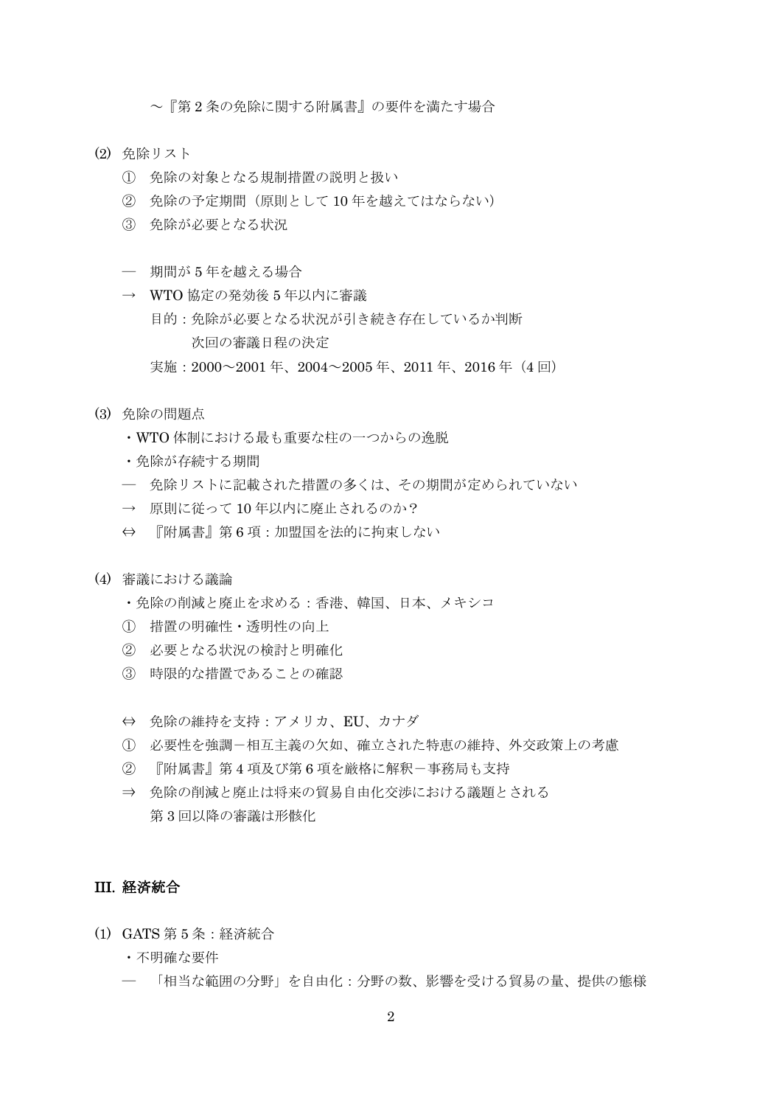~『第 2 条の免除に関する附属書』の要件を満たす場合

- (2) 免除リスト
	- ① 免除の対象となる規制措置の説明と扱い
	- ② 免除の予定期間(原則として 10 年を越えてはならない)
	- ③ 免除が必要となる状況
	- ― 期間が 5 年を越える場合
	- → WTO協定の発効後 5年以内に審議 目的:免除が必要となる状況が引き続き存在しているか判断 次回の審議日程の決定
		- 実施:2000~2001 年、2004~2005 年、2011 年、2016 年(4 回)
- (3) 免除の問題点
	- ・WTO 体制における最も重要な柱の一つからの逸脱
	- ・免除が存続する期間
	- ― 免除リストに記載された措置の多くは、その期間が定められていない
	- → 原則に従って10年以内に廃止されるのか?
	- ⇔ 『附属書』第 6 項:加盟国を法的に拘束しない
- (4) 審議における議論
	- ・免除の削減と廃止を求める:香港、韓国、日本、メキシコ
	- ① 措置の明確性・透明性の向上
	- ② 必要となる状況の検討と明確化
	- ③ 時限的な措置であることの確認
	- ⇔ 免除の維持を支持:アメリカ、EU、カナダ
	- ① 必要性を強調-相互主義の欠如、確立された特恵の維持、外交政策上の考慮
	- ② 『附属書』第 4 項及び第 6 項を厳格に解釈-事務局も支持
	- ⇒ 免除の削減と廃止は将来の貿易自由化交渉における議題とされる 第 3 回以降の審議は形骸化

## III. 経済統合

- (1) GATS 第 5 条:経済統合
	- ・不明確な要件
	- ― 「相当な範囲の分野」を自由化:分野の数、影響を受ける貿易の量、提供の態様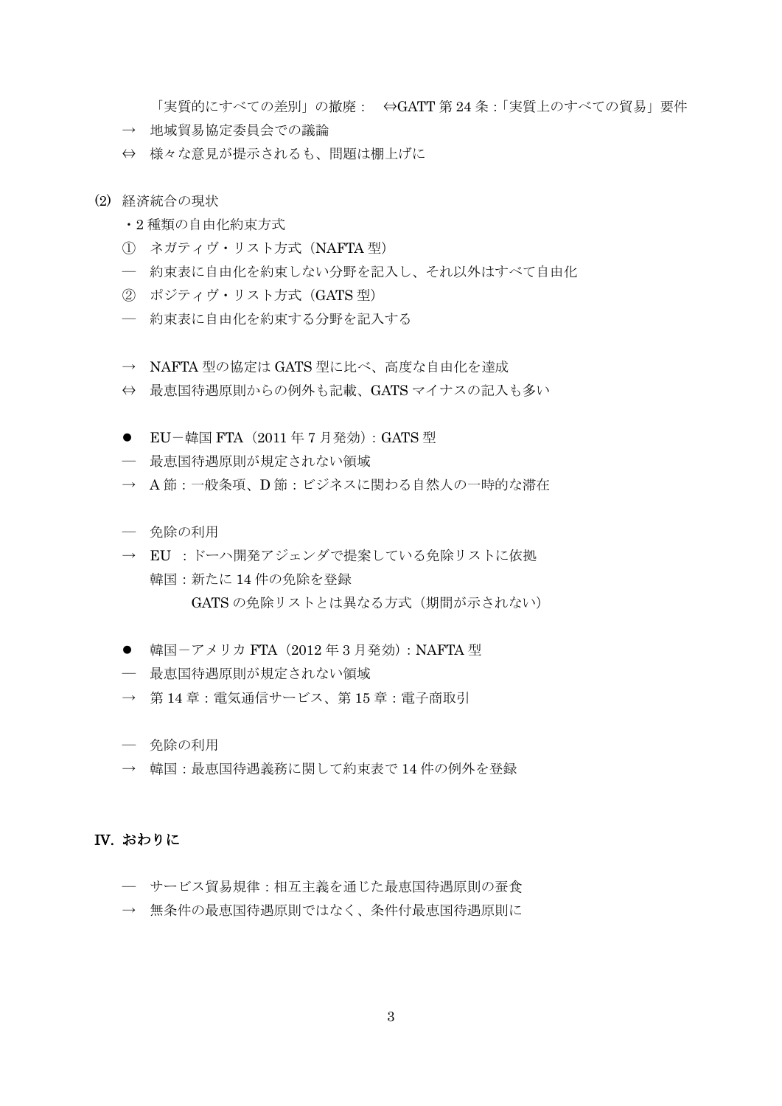「実質的にすべての差別」の撤廃: ⇔GATT 第 24 条:「実質上のすべての貿易」要件

- → 地域貿易協定委員会での議論
- ⇔ 様々な意見が提示されるも、問題は棚上げに
- (2) 経済統合の現状
	- ・2 種類の自由化約束方式
	- ① ネガティヴ・リスト方式(NAFTA 型)
	- ― 約束表に自由化を約束しない分野を記入し、それ以外はすべて自由化
	- ② ポジティヴ・リスト方式(GATS 型)
	- ― 約束表に自由化を約束する分野を記入する
	- → NAFTA 型の協定は GATS 型に比べ、高度な自由化を達成
	- ⇔ 最恵国待遇原則からの例外も記載、GATS マイナスの記入も多い
	- EU-韓国 FTA $(2011 \n 47 17 47)$ : GATS 型
	- ― 最恵国待遇原則が規定されない領域
	- → A 節:一般条項、D 節:ビジネスに関わる自然人の一時的な滞在
	- ― 免除の利用
	- → EU : ドーハ開発アジェンダで提案している免除リストに依拠 韓国:新たに 14 件の免除を登録 GATS の免除リストとは異なる方式(期間が示されない)
	- 韓国ーアメリカ FTA (2012年3月発効): NAFTA 型
	- ― 最恵国待遇原則が規定されない領域
	- → 第14章: 雷気通信サービス、第15章: 雷子商取引
	- ― 免除の利用
	- → 韓国:最恵国待遇義務に関して約束表で14件の例外を登録

#### IV. おわりに

- ― サービス貿易規律:相互主義を通じた最恵国待遇原則の蚕食
- → 無条件の最恵国待遇原則ではなく、条件付最恵国待遇原則に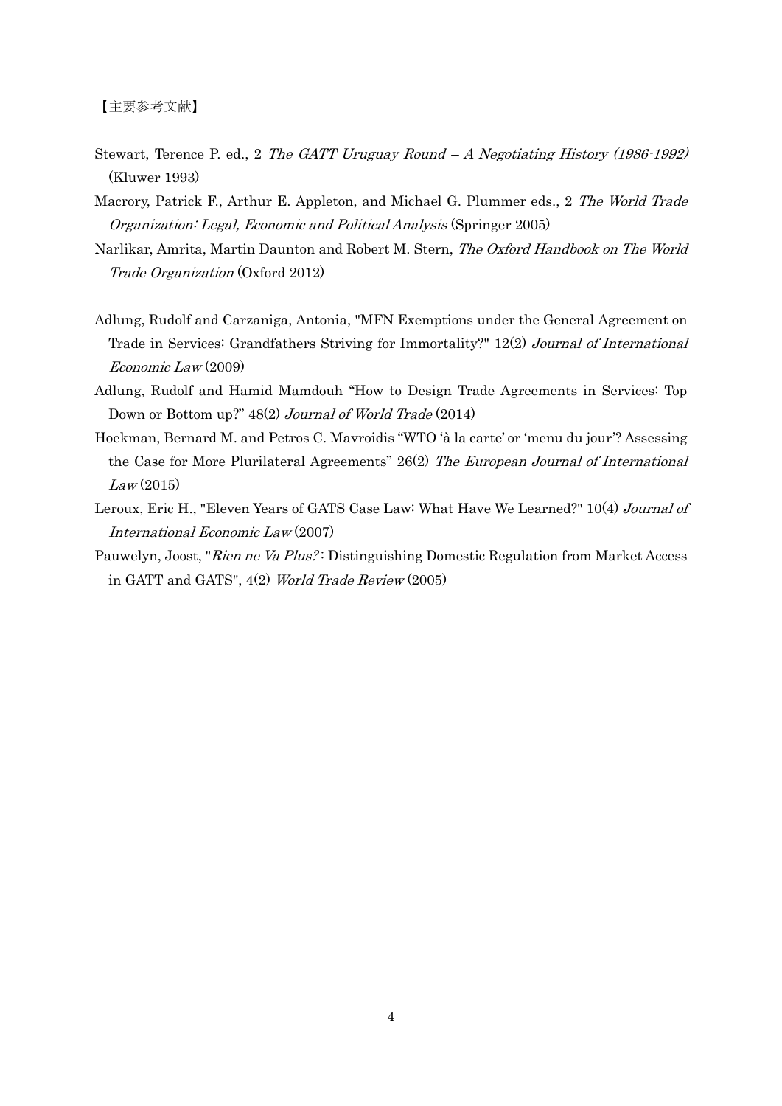- Stewart, Terence P. ed., 2 The GATT Uruguay Round A Negotiating History (1986-1992) (Kluwer 1993)
- Macrory, Patrick F., Arthur E. Appleton, and Michael G. Plummer eds., 2 The World Trade Organization: Legal, Economic and Political Analysis (Springer 2005)
- Narlikar, Amrita, Martin Daunton and Robert M. Stern, The Oxford Handbook on The World Trade Organization (Oxford 2012)
- Adlung, Rudolf and Carzaniga, Antonia, "MFN Exemptions under the General Agreement on Trade in Services: Grandfathers Striving for Immortality?" 12(2) Journal of International Economic Law (2009)
- Adlung, Rudolf and Hamid Mamdouh "How to Design Trade Agreements in Services: Top Down or Bottom up?" 48(2) Journal of World Trade (2014)
- Hoekman, Bernard M. and Petros C. Mavroidis "WTO 'à la carte' or 'menu du jour'? Assessing the Case for More Plurilateral Agreements" 26(2) The European Journal of International  $Law(2015)$
- Leroux, Eric H., "Eleven Years of GATS Case Law: What Have We Learned?" 10(4) Journal of International Economic Law (2007)
- Pauwelyn, Joost, "Rien ne Va Plus?: Distinguishing Domestic Regulation from Market Access in GATT and GATS", 4(2) World Trade Review (2005)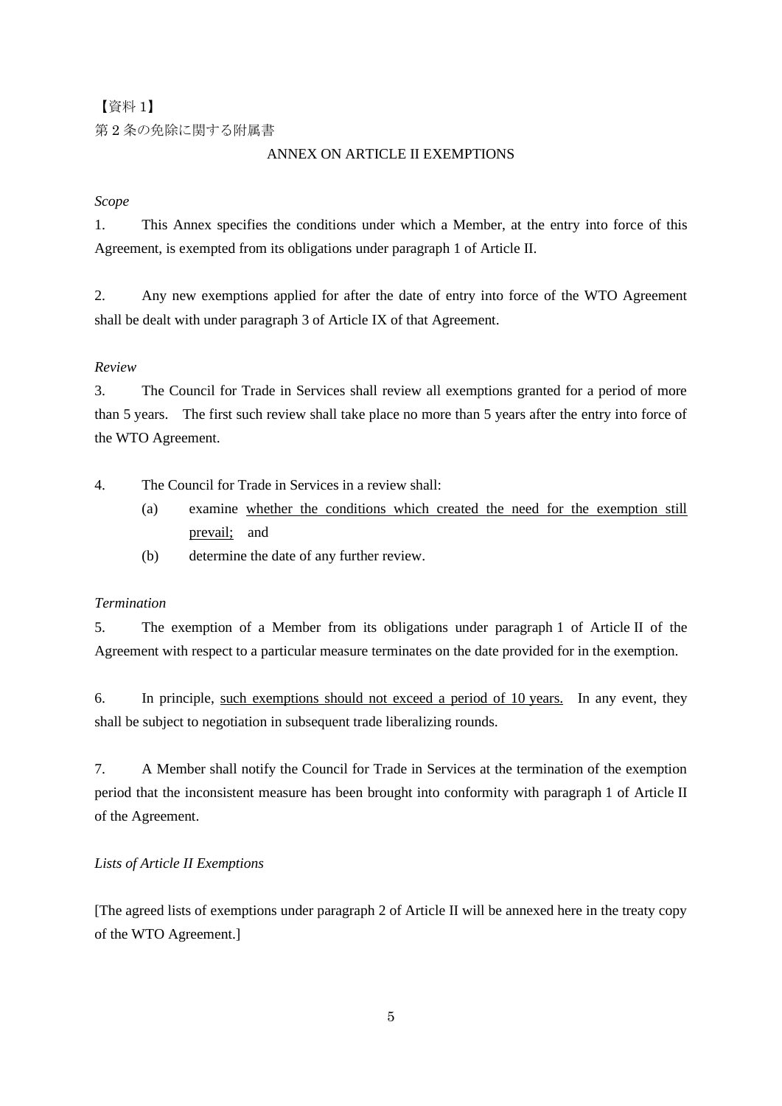【資料 1】

第 2 条の免除に関する附属書

## ANNEX ON ARTICLE II EXEMPTIONS

## *Scope*

1. This Annex specifies the conditions under which a Member, at the entry into force of this Agreement, is exempted from its obligations under paragraph 1 of Article II.

2. Any new exemptions applied for after the date of entry into force of the WTO Agreement shall be dealt with under paragraph 3 of Article IX of that Agreement.

## *Review*

3. The Council for Trade in Services shall review all exemptions granted for a period of more than 5 years. The first such review shall take place no more than 5 years after the entry into force of the WTO Agreement.

4. The Council for Trade in Services in a review shall:

- (a) examine whether the conditions which created the need for the exemption still prevail; and
- (b) determine the date of any further review.

# *Termination*

5. The exemption of a Member from its obligations under paragraph 1 of Article II of the Agreement with respect to a particular measure terminates on the date provided for in the exemption.

6. In principle, such exemptions should not exceed a period of 10 years. In any event, they shall be subject to negotiation in subsequent trade liberalizing rounds.

7. A Member shall notify the Council for Trade in Services at the termination of the exemption period that the inconsistent measure has been brought into conformity with paragraph 1 of Article II of the Agreement.

# *Lists of Article II Exemptions*

[The agreed lists of exemptions under paragraph 2 of Article II will be annexed here in the treaty copy of the WTO Agreement.]